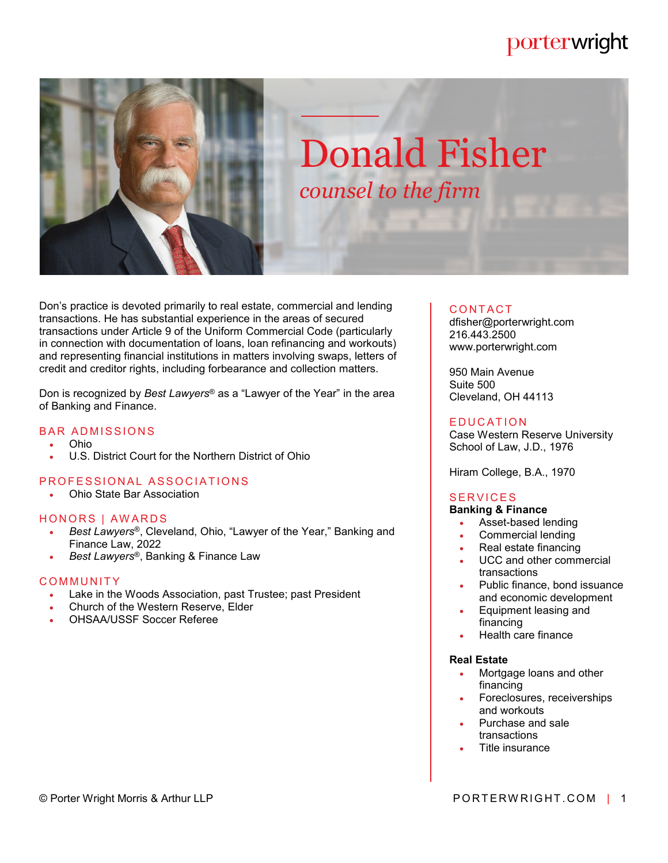# porterwright



# Donald Fisher *counsel to the firm*

Don's practice is devoted primarily to real estate, commercial and lending transactions. He has substantial experience in the areas of secured transactions under Article 9 of the Uniform Commercial Code (particularly in connection with documentation of loans, loan refinancing and workouts) and representing financial institutions in matters involving swaps, letters of credit and creditor rights, including forbearance and collection matters.

Don is recognized by *Best Lawyers*® as a "Lawyer of the Year" in the area of Banking and Finance.

#### **BAR ADMISSIONS**

- Ohio
- U.S. District Court for the Northern District of Ohio

#### PROFESSIONAL ASSOCIATIONS

Ohio State Bar Association

#### HONORS | AWARDS

- *Best Lawyers*®, Cleveland, Ohio, "Lawyer of the Year," Banking and Finance Law, 2022
- *Best Lawyers*®, Banking & Finance Law

#### **COMMUNITY**

- Lake in the Woods Association, past Trustee; past President
- Church of the Western Reserve, Elder
- OHSAA/USSF Soccer Referee

#### **CONTACT**

dfisher@porterwright.com 216.443.2500 www.porterwright.com

950 Main Avenue Suite 500 Cleveland, OH 44113

#### **E DUCATION**

Case Western Reserve University School of Law, J.D., 1976

Hiram College, B.A., 1970

### **SERVICES**

#### **Banking & Finance**

- Asset-based lending
- Commercial lending
- Real estate financing
- UCC and other commercial transactions
- Public finance, bond issuance and economic development
- Equipment leasing and financing
- Health care finance

#### **Real Estate**

- Mortgage loans and other financing
- Foreclosures, receiverships and workouts
- Purchase and sale transactions
- Title insurance